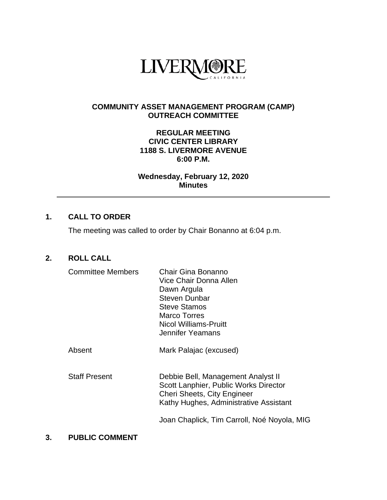

#### **COMMUNITY ASSET MANAGEMENT PROGRAM (CAMP) OUTREACH COMMITTEE**

#### **REGULAR MEETING CIVIC CENTER LIBRARY 1188 S. LIVERMORE AVENUE 6:00 P.M.**

**Wednesday, February 12, 2020 Minutes**

# **1. CALL TO ORDER**

The meeting was called to order by Chair Bonanno at 6:04 p.m.

# **2. ROLL CALL**

| <b>Committee Members</b> | Chair Gina Bonanno<br>Vice Chair Donna Allen<br>Dawn Argula<br><b>Steven Dunbar</b><br><b>Steve Stamos</b><br>Marco Torres<br><b>Nicol Williams-Pruitt</b><br>Jennifer Yeamans |
|--------------------------|--------------------------------------------------------------------------------------------------------------------------------------------------------------------------------|
| Absent                   | Mark Palajac (excused)                                                                                                                                                         |
| <b>Staff Present</b>     | Debbie Bell, Management Analyst II<br>Scott Lanphier, Public Works Director<br>Cheri Sheets, City Engineer<br>Kathy Hughes, Administrative Assistant                           |
|                          | Joan Chaplick, Tim Carroll, Noé Noyola, MIG                                                                                                                                    |

## **3. PUBLIC COMMENT**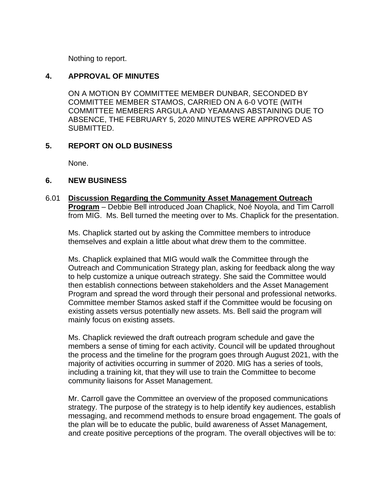Nothing to report.

## **4. APPROVAL OF MINUTES**

ON A MOTION BY COMMITTEE MEMBER DUNBAR, SECONDED BY COMMITTEE MEMBER STAMOS, CARRIED ON A 6-0 VOTE (WITH COMMITTEE MEMBERS ARGULA AND YEAMANS ABSTAINING DUE TO ABSENCE, THE FEBRUARY 5, 2020 MINUTES WERE APPROVED AS SUBMITTED.

## **5. REPORT ON OLD BUSINESS**

None.

### **6. NEW BUSINESS**

6.01 **Discussion Regarding the Community Asset Management Outreach Program** – Debbie Bell introduced Joan Chaplick, Noé Noyola, and Tim Carroll from MIG. Ms. Bell turned the meeting over to Ms. Chaplick for the presentation.

Ms. Chaplick started out by asking the Committee members to introduce themselves and explain a little about what drew them to the committee.

Ms. Chaplick explained that MIG would walk the Committee through the Outreach and Communication Strategy plan, asking for feedback along the way to help customize a unique outreach strategy. She said the Committee would then establish connections between stakeholders and the Asset Management Program and spread the word through their personal and professional networks. Committee member Stamos asked staff if the Committee would be focusing on existing assets versus potentially new assets. Ms. Bell said the program will mainly focus on existing assets.

Ms. Chaplick reviewed the draft outreach program schedule and gave the members a sense of timing for each activity. Council will be updated throughout the process and the timeline for the program goes through August 2021, with the majority of activities occurring in summer of 2020. MIG has a series of tools, including a training kit, that they will use to train the Committee to become community liaisons for Asset Management.

Mr. Carroll gave the Committee an overview of the proposed communications strategy. The purpose of the strategy is to help identify key audiences, establish messaging, and recommend methods to ensure broad engagement. The goals of the plan will be to educate the public, build awareness of Asset Management, and create positive perceptions of the program. The overall objectives will be to: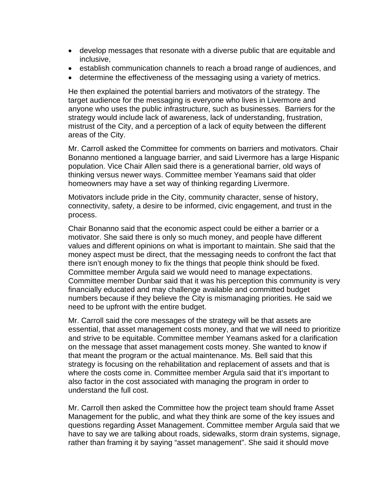- develop messages that resonate with a diverse public that are equitable and inclusive,
- establish communication channels to reach a broad range of audiences, and
- determine the effectiveness of the messaging using a variety of metrics.

He then explained the potential barriers and motivators of the strategy. The target audience for the messaging is everyone who lives in Livermore and anyone who uses the public infrastructure, such as businesses. Barriers for the strategy would include lack of awareness, lack of understanding, frustration, mistrust of the City, and a perception of a lack of equity between the different areas of the City.

Mr. Carroll asked the Committee for comments on barriers and motivators. Chair Bonanno mentioned a language barrier, and said Livermore has a large Hispanic population. Vice Chair Allen said there is a generational barrier, old ways of thinking versus newer ways. Committee member Yeamans said that older homeowners may have a set way of thinking regarding Livermore.

Motivators include pride in the City, community character, sense of history, connectivity, safety, a desire to be informed, civic engagement, and trust in the process.

Chair Bonanno said that the economic aspect could be either a barrier or a motivator. She said there is only so much money, and people have different values and different opinions on what is important to maintain. She said that the money aspect must be direct, that the messaging needs to confront the fact that there isn't enough money to fix the things that people think should be fixed. Committee member Argula said we would need to manage expectations. Committee member Dunbar said that it was his perception this community is very financially educated and may challenge available and committed budget numbers because if they believe the City is mismanaging priorities. He said we need to be upfront with the entire budget.

Mr. Carroll said the core messages of the strategy will be that assets are essential, that asset management costs money, and that we will need to prioritize and strive to be equitable. Committee member Yeamans asked for a clarification on the message that asset management costs money. She wanted to know if that meant the program or the actual maintenance. Ms. Bell said that this strategy is focusing on the rehabilitation and replacement of assets and that is where the costs come in. Committee member Argula said that it's important to also factor in the cost associated with managing the program in order to understand the full cost.

Mr. Carroll then asked the Committee how the project team should frame Asset Management for the public, and what they think are some of the key issues and questions regarding Asset Management. Committee member Argula said that we have to say we are talking about roads, sidewalks, storm drain systems, signage, rather than framing it by saying "asset management". She said it should move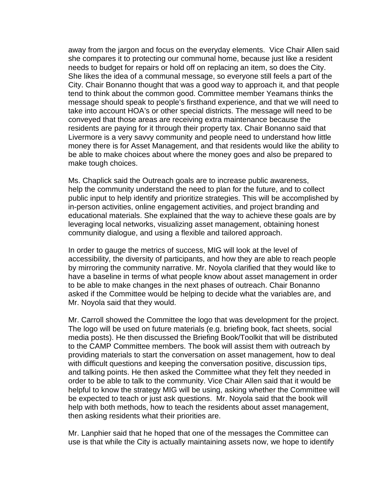away from the jargon and focus on the everyday elements. Vice Chair Allen said she compares it to protecting our communal home, because just like a resident needs to budget for repairs or hold off on replacing an item, so does the City. She likes the idea of a communal message, so everyone still feels a part of the City. Chair Bonanno thought that was a good way to approach it, and that people tend to think about the common good. Committee member Yeamans thinks the message should speak to people's firsthand experience, and that we will need to take into account HOA's or other special districts. The message will need to be conveyed that those areas are receiving extra maintenance because the residents are paying for it through their property tax. Chair Bonanno said that Livermore is a very savvy community and people need to understand how little money there is for Asset Management, and that residents would like the ability to be able to make choices about where the money goes and also be prepared to make tough choices.

Ms. Chaplick said the Outreach goals are to increase public awareness, help the community understand the need to plan for the future, and to collect public input to help identify and prioritize strategies. This will be accomplished by in-person activities, online engagement activities, and project branding and educational materials. She explained that the way to achieve these goals are by leveraging local networks, visualizing asset management, obtaining honest community dialogue, and using a flexible and tailored approach.

In order to gauge the metrics of success, MIG will look at the level of accessibility, the diversity of participants, and how they are able to reach people by mirroring the community narrative. Mr. Noyola clarified that they would like to have a baseline in terms of what people know about asset management in order to be able to make changes in the next phases of outreach. Chair Bonanno asked if the Committee would be helping to decide what the variables are, and Mr. Noyola said that they would.

Mr. Carroll showed the Committee the logo that was development for the project. The logo will be used on future materials (e.g. briefing book, fact sheets, social media posts). He then discussed the Briefing Book/Toolkit that will be distributed to the CAMP Committee members. The book will assist them with outreach by providing materials to start the conversation on asset management, how to deal with difficult questions and keeping the conversation positive, discussion tips, and talking points. He then asked the Committee what they felt they needed in order to be able to talk to the community. Vice Chair Allen said that it would be helpful to know the strategy MIG will be using, asking whether the Committee will be expected to teach or just ask questions. Mr. Noyola said that the book will help with both methods, how to teach the residents about asset management, then asking residents what their priorities are.

Mr. Lanphier said that he hoped that one of the messages the Committee can use is that while the City is actually maintaining assets now, we hope to identify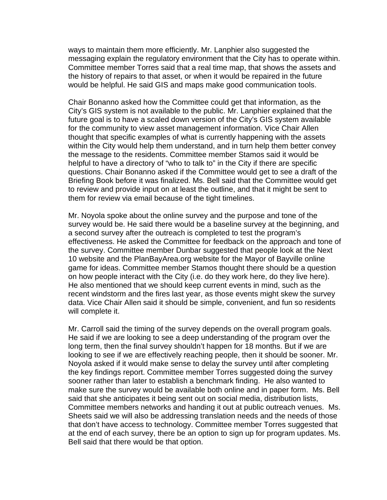ways to maintain them more efficiently. Mr. Lanphier also suggested the messaging explain the regulatory environment that the City has to operate within. Committee member Torres said that a real time map, that shows the assets and the history of repairs to that asset, or when it would be repaired in the future would be helpful. He said GIS and maps make good communication tools.

Chair Bonanno asked how the Committee could get that information, as the City's GIS system is not available to the public. Mr. Lanphier explained that the future goal is to have a scaled down version of the City's GIS system available for the community to view asset management information. Vice Chair Allen thought that specific examples of what is currently happening with the assets within the City would help them understand, and in turn help them better convey the message to the residents. Committee member Stamos said it would be helpful to have a directory of "who to talk to" in the City if there are specific questions. Chair Bonanno asked if the Committee would get to see a draft of the Briefing Book before it was finalized. Ms. Bell said that the Committee would get to review and provide input on at least the outline, and that it might be sent to them for review via email because of the tight timelines.

Mr. Noyola spoke about the online survey and the purpose and tone of the survey would be. He said there would be a baseline survey at the beginning, and a second survey after the outreach is completed to test the program's effectiveness. He asked the Committee for feedback on the approach and tone of the survey. Committee member Dunbar suggested that people look at the Next 10 website and the PlanBayArea.org website for the Mayor of Bayville online game for ideas. Committee member Stamos thought there should be a question on how people interact with the City (i.e. do they work here, do they live here). He also mentioned that we should keep current events in mind, such as the recent windstorm and the fires last year, as those events might skew the survey data. Vice Chair Allen said it should be simple, convenient, and fun so residents will complete it.

Mr. Carroll said the timing of the survey depends on the overall program goals. He said if we are looking to see a deep understanding of the program over the long term, then the final survey shouldn't happen for 18 months. But if we are looking to see if we are effectively reaching people, then it should be sooner. Mr. Noyola asked if it would make sense to delay the survey until after completing the key findings report. Committee member Torres suggested doing the survey sooner rather than later to establish a benchmark finding. He also wanted to make sure the survey would be available both online and in paper form. Ms. Bell said that she anticipates it being sent out on social media, distribution lists, Committee members networks and handing it out at public outreach venues. Ms. Sheets said we will also be addressing translation needs and the needs of those that don't have access to technology. Committee member Torres suggested that at the end of each survey, there be an option to sign up for program updates. Ms. Bell said that there would be that option.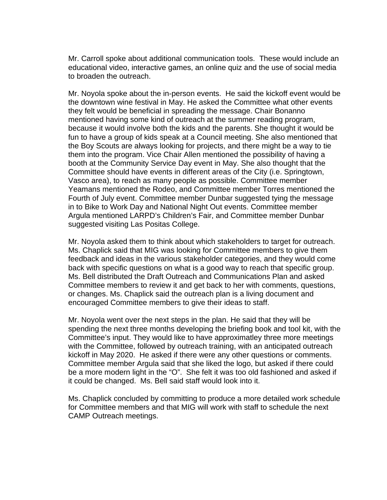Mr. Carroll spoke about additional communication tools. These would include an educational video, interactive games, an online quiz and the use of social media to broaden the outreach.

Mr. Noyola spoke about the in-person events. He said the kickoff event would be the downtown wine festival in May. He asked the Committee what other events they felt would be beneficial in spreading the message. Chair Bonanno mentioned having some kind of outreach at the summer reading program, because it would involve both the kids and the parents. She thought it would be fun to have a group of kids speak at a Council meeting. She also mentioned that the Boy Scouts are always looking for projects, and there might be a way to tie them into the program. Vice Chair Allen mentioned the possibility of having a booth at the Community Service Day event in May. She also thought that the Committee should have events in different areas of the City (i.e. Springtown, Vasco area), to reach as many people as possible. Committee member Yeamans mentioned the Rodeo, and Committee member Torres mentioned the Fourth of July event. Committee member Dunbar suggested tying the message in to Bike to Work Day and National Night Out events. Committee member Argula mentioned LARPD's Children's Fair, and Committee member Dunbar suggested visiting Las Positas College.

Mr. Noyola asked them to think about which stakeholders to target for outreach. Ms. Chaplick said that MIG was looking for Committee members to give them feedback and ideas in the various stakeholder categories, and they would come back with specific questions on what is a good way to reach that specific group. Ms. Bell distributed the Draft Outreach and Communications Plan and asked Committee members to review it and get back to her with comments, questions, or changes. Ms. Chaplick said the outreach plan is a living document and encouraged Committee members to give their ideas to staff.

Mr. Noyola went over the next steps in the plan. He said that they will be spending the next three months developing the briefing book and tool kit, with the Committee's input. They would like to have approximatley three more meetings with the Committee, followed by outreach training, with an anticipated outreach kickoff in May 2020. He asked if there were any other questions or comments. Committee member Argula said that she liked the logo, but asked if there could be a more modern light in the "O". She felt it was too old fashioned and asked if it could be changed. Ms. Bell said staff would look into it.

Ms. Chaplick concluded by committing to produce a more detailed work schedule for Committee members and that MIG will work with staff to schedule the next CAMP Outreach meetings.